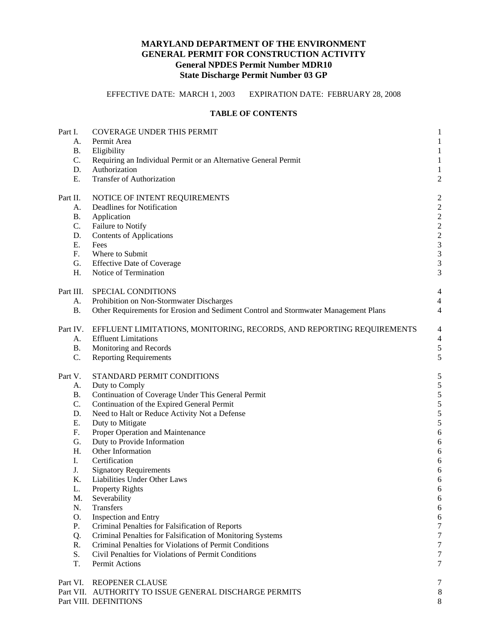# **MARYLAND DEPARTMENT OF THE ENVIRONMENT GENERAL PERMIT FOR CONSTRUCTION ACTIVITY General NPDES Permit Number MDR10 State Discharge Permit Number 03 GP**

EFFECTIVE DATE: MARCH 1, 2003 EXPIRATION DATE: FEBRUARY 28, 2008

# **TABLE OF CONTENTS**

| Part I.                                                                     | <b>COVERAGE UNDER THIS PERMIT</b>                                                                                                                                                                                           | $\mathbf{1}$                                                                                                                    |
|-----------------------------------------------------------------------------|-----------------------------------------------------------------------------------------------------------------------------------------------------------------------------------------------------------------------------|---------------------------------------------------------------------------------------------------------------------------------|
| А.                                                                          | Permit Area                                                                                                                                                                                                                 | $\mathbf{1}$                                                                                                                    |
| <b>B.</b>                                                                   | Eligibility                                                                                                                                                                                                                 | $\mathbf{1}$                                                                                                                    |
| C.                                                                          | Requiring an Individual Permit or an Alternative General Permit                                                                                                                                                             | $\mathbf{1}$                                                                                                                    |
| D.                                                                          | Authorization                                                                                                                                                                                                               | $\mathbf{1}$                                                                                                                    |
| E.                                                                          | <b>Transfer of Authorization</b>                                                                                                                                                                                            | $\boldsymbol{2}$                                                                                                                |
| Part II.<br>А.<br><b>B.</b><br>C.<br>D.<br>Ε.<br>F <sub>1</sub><br>G.<br>H. | NOTICE OF INTENT REQUIREMENTS<br>Deadlines for Notification<br>Application<br>Failure to Notify<br><b>Contents of Applications</b><br>Fees<br>Where to Submit<br><b>Effective Date of Coverage</b><br>Notice of Termination | $\overline{c}$<br>$\sqrt{2}$<br>$\sqrt{2}$<br>$\sqrt{2}$<br>$\frac{2}{3}$<br>$\overline{3}$<br>$\overline{3}$<br>$\mathfrak{Z}$ |
| Part III.                                                                   | SPECIAL CONDITIONS                                                                                                                                                                                                          | $\overline{4}$                                                                                                                  |
| А.                                                                          | Prohibition on Non-Stormwater Discharges                                                                                                                                                                                    | $\overline{4}$                                                                                                                  |
| <b>B.</b>                                                                   | Other Requirements for Erosion and Sediment Control and Stormwater Management Plans                                                                                                                                         | $\overline{4}$                                                                                                                  |
| Part IV.                                                                    | EFFLUENT LIMITATIONS, MONITORING, RECORDS, AND REPORTING REQUIREMENTS                                                                                                                                                       | $\overline{4}$                                                                                                                  |
| A.                                                                          | <b>Effluent Limitations</b>                                                                                                                                                                                                 | $\overline{4}$                                                                                                                  |
| <b>B.</b>                                                                   | Monitoring and Records                                                                                                                                                                                                      | 5                                                                                                                               |
| C.                                                                          | <b>Reporting Requirements</b>                                                                                                                                                                                               | 5                                                                                                                               |
| Part V.                                                                     | STANDARD PERMIT CONDITIONS                                                                                                                                                                                                  | 5                                                                                                                               |
| A.                                                                          | Duty to Comply                                                                                                                                                                                                              | 5                                                                                                                               |
| <b>B.</b>                                                                   | Continuation of Coverage Under This General Permit                                                                                                                                                                          | 5                                                                                                                               |
| C.                                                                          | Continuation of the Expired General Permit                                                                                                                                                                                  | $\overline{5}$                                                                                                                  |
| D.                                                                          | Need to Halt or Reduce Activity Not a Defense                                                                                                                                                                               | 5                                                                                                                               |
| Ε.                                                                          | Duty to Mitigate                                                                                                                                                                                                            | $\sqrt{5}$                                                                                                                      |
| F.                                                                          | Proper Operation and Maintenance                                                                                                                                                                                            | $\sqrt{6}$                                                                                                                      |
| G.                                                                          | Duty to Provide Information                                                                                                                                                                                                 | $\boldsymbol{6}$                                                                                                                |
| H.                                                                          | Other Information                                                                                                                                                                                                           | 6                                                                                                                               |
| I.                                                                          | Certification                                                                                                                                                                                                               | 6                                                                                                                               |
| J.                                                                          | <b>Signatory Requirements</b>                                                                                                                                                                                               | 6                                                                                                                               |
| K.                                                                          | Liabilities Under Other Laws                                                                                                                                                                                                | 6                                                                                                                               |
| L.                                                                          | Property Rights                                                                                                                                                                                                             | 6                                                                                                                               |
| M.                                                                          | Severability                                                                                                                                                                                                                | 6                                                                                                                               |
| N.                                                                          | Transfers                                                                                                                                                                                                                   | $\sqrt{6}$                                                                                                                      |
| O.                                                                          | <b>Inspection and Entry</b>                                                                                                                                                                                                 | $\sqrt{6}$                                                                                                                      |
| Ρ.                                                                          | Criminal Penalties for Falsification of Reports                                                                                                                                                                             | $\boldsymbol{7}$                                                                                                                |
| Q.                                                                          | Criminal Penalties for Falsification of Monitoring Systems                                                                                                                                                                  | $\tau$                                                                                                                          |
| R.                                                                          | Criminal Penalties for Violations of Permit Conditions                                                                                                                                                                      | $\tau$                                                                                                                          |
| S.                                                                          | Civil Penalties for Violations of Permit Conditions                                                                                                                                                                         | $\tau$                                                                                                                          |
| T.                                                                          | Permit Actions                                                                                                                                                                                                              | 7                                                                                                                               |
| Part VI.                                                                    | <b>REOPENER CLAUSE</b><br>Part VII. AUTHORITY TO ISSUE GENERAL DISCHARGE PERMITS<br>Part VIII. DEFINITIONS                                                                                                                  | 7<br>$8\phantom{1}$<br>8                                                                                                        |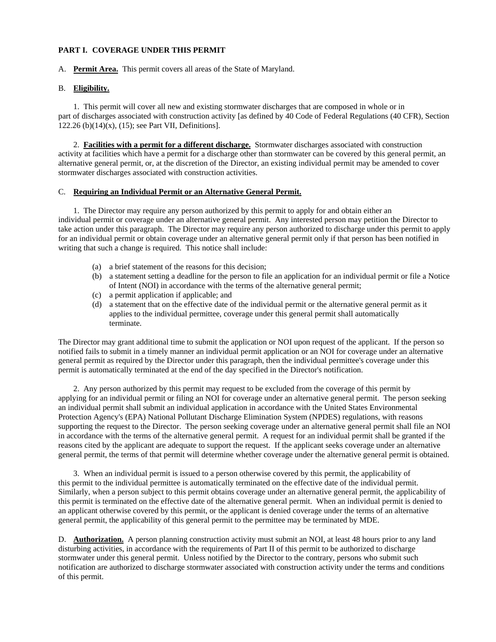### **PART I. COVERAGE UNDER THIS PERMIT**

#### A. **Permit Area.** This permit covers all areas of the State of Maryland.

#### B. **Eligibility.**

1. This permit will cover all new and existing stormwater discharges that are composed in whole or in part of discharges associated with construction activity [as defined by 40 Code of Federal Regulations (40 CFR), Section 122.26 (b)(14)(x), (15); see Part VII, Definitions].

2. **Facilities with a permit for a different discharge.** Stormwater discharges associated with construction activity at facilities which have a permit for a discharge other than stormwater can be covered by this general permit, an alternative general permit, or, at the discretion of the Director, an existing individual permit may be amended to cover stormwater discharges associated with construction activities.

# C. **Requiring an Individual Permit or an Alternative General Permit.**

1. The Director may require any person authorized by this permit to apply for and obtain either an individual permit or coverage under an alternative general permit. Any interested person may petition the Director to take action under this paragraph. The Director may require any person authorized to discharge under this permit to apply for an individual permit or obtain coverage under an alternative general permit only if that person has been notified in writing that such a change is required. This notice shall include:

- (a) a brief statement of the reasons for this decision;
- (b) a statement setting a deadline for the person to file an application for an individual permit or file a Notice of Intent (NOI) in accordance with the terms of the alternative general permit;
- (c) a permit application if applicable; and
- (d) a statement that on the effective date of the individual permit or the alternative general permit as it applies to the individual permittee, coverage under this general permit shall automatically terminate.

The Director may grant additional time to submit the application or NOI upon request of the applicant. If the person so notified fails to submit in a timely manner an individual permit application or an NOI for coverage under an alternative general permit as required by the Director under this paragraph, then the individual permittee's coverage under this permit is automatically terminated at the end of the day specified in the Director's notification.

2. Any person authorized by this permit may request to be excluded from the coverage of this permit by applying for an individual permit or filing an NOI for coverage under an alternative general permit. The person seeking an individual permit shall submit an individual application in accordance with the United States Environmental Protection Agency's (EPA) National Pollutant Discharge Elimination System (NPDES) regulations, with reasons supporting the request to the Director. The person seeking coverage under an alternative general permit shall file an NOI in accordance with the terms of the alternative general permit. A request for an individual permit shall be granted if the reasons cited by the applicant are adequate to support the request. If the applicant seeks coverage under an alternative general permit, the terms of that permit will determine whether coverage under the alternative general permit is obtained.

3. When an individual permit is issued to a person otherwise covered by this permit, the applicability of this permit to the individual permittee is automatically terminated on the effective date of the individual permit. Similarly, when a person subject to this permit obtains coverage under an alternative general permit, the applicability of this permit is terminated on the effective date of the alternative general permit. When an individual permit is denied to an applicant otherwise covered by this permit, or the applicant is denied coverage under the terms of an alternative general permit, the applicability of this general permit to the permittee may be terminated by MDE.

D. **Authorization.** A person planning construction activity must submit an NOI, at least 48 hours prior to any land disturbing activities, in accordance with the requirements of Part II of this permit to be authorized to discharge stormwater under this general permit. Unless notified by the Director to the contrary, persons who submit such notification are authorized to discharge stormwater associated with construction activity under the terms and conditions of this permit.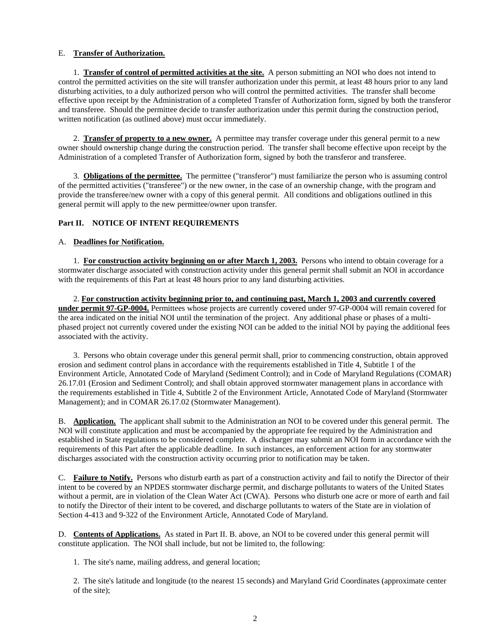# E. **Transfer of Authorization.**

1. **Transfer of control of permitted activities at the site.** A person submitting an NOI who does not intend to control the permitted activities on the site will transfer authorization under this permit, at least 48 hours prior to any land disturbing activities, to a duly authorized person who will control the permitted activities. The transfer shall become effective upon receipt by the Administration of a completed Transfer of Authorization form, signed by both the transferor and transferee. Should the permittee decide to transfer authorization under this permit during the construction period, written notification (as outlined above) must occur immediately.

2. **Transfer of property to a new owner.** A permittee may transfer coverage under this general permit to a new owner should ownership change during the construction period. The transfer shall become effective upon receipt by the Administration of a completed Transfer of Authorization form, signed by both the transferor and transferee.

3. **Obligations of the permittee.** The permittee ("transferor") must familiarize the person who is assuming control of the permitted activities ("transferee") or the new owner, in the case of an ownership change, with the program and provide the transferee/new owner with a copy of this general permit. All conditions and obligations outlined in this general permit will apply to the new permittee/owner upon transfer.

# **Part II. NOTICE OF INTENT REQUIREMENTS**

# A. **Deadlines for Notification.**

 1. **For construction activity beginning on or after March 1, 2003.** Persons who intend to obtain coverage for a stormwater discharge associated with construction activity under this general permit shall submit an NOI in accordance with the requirements of this Part at least 48 hours prior to any land disturbing activities.

2. **For construction activity beginning prior to, and continuing past, March 1, 2003 and currently covered under permit 97-GP-0004.** Permittees whose projects are currently covered under 97-GP-0004 will remain covered for the area indicated on the initial NOI until the termination of the project. Any additional phase or phases of a multiphased project not currently covered under the existing NOI can be added to the initial NOI by paying the additional fees associated with the activity.

3. Persons who obtain coverage under this general permit shall, prior to commencing construction, obtain approved erosion and sediment control plans in accordance with the requirements established in Title 4, Subtitle 1 of the Environment Article, Annotated Code of Maryland (Sediment Control); and in Code of Maryland Regulations (COMAR) 26.17.01 (Erosion and Sediment Control); and shall obtain approved stormwater management plans in accordance with the requirements established in Title 4, Subtitle 2 of the Environment Article, Annotated Code of Maryland (Stormwater Management); and in COMAR 26.17.02 (Stormwater Management).

B. **Application.** The applicant shall submit to the Administration an NOI to be covered under this general permit. The NOI will constitute application and must be accompanied by the appropriate fee required by the Administration and established in State regulations to be considered complete. A discharger may submit an NOI form in accordance with the requirements of this Part after the applicable deadline. In such instances, an enforcement action for any stormwater discharges associated with the construction activity occurring prior to notification may be taken.

C. **Failure to Notify.** Persons who disturb earth as part of a construction activity and fail to notify the Director of their intent to be covered by an NPDES stormwater discharge permit, and discharge pollutants to waters of the United States without a permit, are in violation of the Clean Water Act (CWA). Persons who disturb one acre or more of earth and fail to notify the Director of their intent to be covered, and discharge pollutants to waters of the State are in violation of Section 4-413 and 9-322 of the Environment Article, Annotated Code of Maryland.

D. **Contents of Applications.** As stated in Part II. B. above, an NOI to be covered under this general permit will constitute application. The NOI shall include, but not be limited to, the following:

1. The site's name, mailing address, and general location;

2. The site's latitude and longitude (to the nearest 15 seconds) and Maryland Grid Coordinates (approximate center of the site);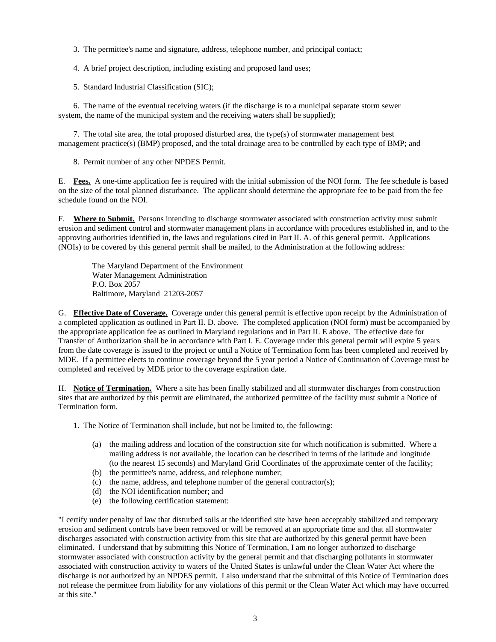- 3. The permittee's name and signature, address, telephone number, and principal contact;
- 4. A brief project description, including existing and proposed land uses;
- 5. Standard Industrial Classification (SIC);

6. The name of the eventual receiving waters (if the discharge is to a municipal separate storm sewer system, the name of the municipal system and the receiving waters shall be supplied);

7. The total site area, the total proposed disturbed area, the type(s) of stormwater management best management practice(s) (BMP) proposed, and the total drainage area to be controlled by each type of BMP; and

8. Permit number of any other NPDES Permit.

E. **Fees.** A one-time application fee is required with the initial submission of the NOI form. The fee schedule is based on the size of the total planned disturbance. The applicant should determine the appropriate fee to be paid from the fee schedule found on the NOI.

F. **Where to Submit.** Persons intending to discharge stormwater associated with construction activity must submit erosion and sediment control and stormwater management plans in accordance with procedures established in, and to the approving authorities identified in, the laws and regulations cited in Part II. A. of this general permit. Applications (NOIs) to be covered by this general permit shall be mailed, to the Administration at the following address:

The Maryland Department of the Environment Water Management Administration P.O. Box 2057 Baltimore, Maryland 21203-2057

G. **Effective Date of Coverage.** Coverage under this general permit is effective upon receipt by the Administration of a completed application as outlined in Part II. D. above. The completed application (NOI form) must be accompanied by the appropriate application fee as outlined in Maryland regulations and in Part II. E above. The effective date for Transfer of Authorization shall be in accordance with Part I. E. Coverage under this general permit will expire 5 years from the date coverage is issued to the project or until a Notice of Termination form has been completed and received by MDE. If a permittee elects to continue coverage beyond the 5 year period a Notice of Continuation of Coverage must be completed and received by MDE prior to the coverage expiration date.

H. **Notice of Termination.** Where a site has been finally stabilized and all stormwater discharges from construction sites that are authorized by this permit are eliminated, the authorized permittee of the facility must submit a Notice of Termination form.

- 1. The Notice of Termination shall include, but not be limited to, the following:
	- (a) the mailing address and location of the construction site for which notification is submitted. Where a mailing address is not available, the location can be described in terms of the latitude and longitude (to the nearest 15 seconds) and Maryland Grid Coordinates of the approximate center of the facility;
	- (b) the permittee's name, address, and telephone number;
	- (c) the name, address, and telephone number of the general contractor(s);
	- (d) the NOI identification number; and
	- (e) the following certification statement:

"I certify under penalty of law that disturbed soils at the identified site have been acceptably stabilized and temporary erosion and sediment controls have been removed or will be removed at an appropriate time and that all stormwater discharges associated with construction activity from this site that are authorized by this general permit have been eliminated. I understand that by submitting this Notice of Termination, I am no longer authorized to discharge stormwater associated with construction activity by the general permit and that discharging pollutants in stormwater associated with construction activity to waters of the United States is unlawful under the Clean Water Act where the discharge is not authorized by an NPDES permit. I also understand that the submittal of this Notice of Termination does not release the permittee from liability for any violations of this permit or the Clean Water Act which may have occurred at this site."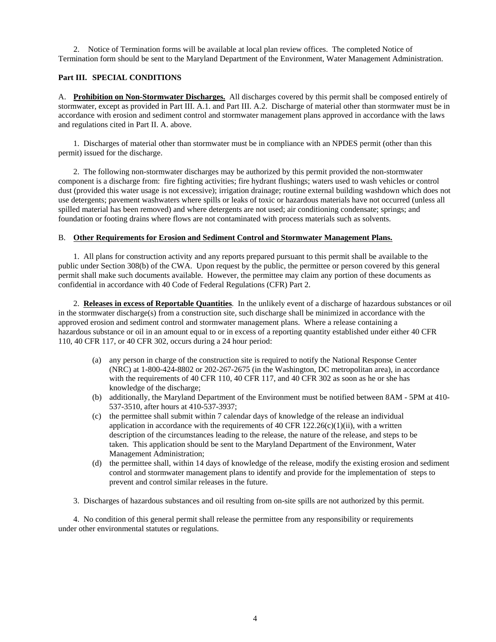2. Notice of Termination forms will be available at local plan review offices. The completed Notice of Termination form should be sent to the Maryland Department of the Environment, Water Management Administration.

### **Part III. SPECIAL CONDITIONS**

A. **Prohibition on Non-Stormwater Discharges.** All discharges covered by this permit shall be composed entirely of stormwater, except as provided in Part III. A.1. and Part III. A.2. Discharge of material other than stormwater must be in accordance with erosion and sediment control and stormwater management plans approved in accordance with the laws and regulations cited in Part II. A. above.

 1. Discharges of material other than stormwater must be in compliance with an NPDES permit (other than this permit) issued for the discharge.

2. The following non-stormwater discharges may be authorized by this permit provided the non-stormwater component is a discharge from: fire fighting activities; fire hydrant flushings; waters used to wash vehicles or control dust (provided this water usage is not excessive); irrigation drainage; routine external building washdown which does not use detergents; pavement washwaters where spills or leaks of toxic or hazardous materials have not occurred (unless all spilled material has been removed) and where detergents are not used; air conditioning condensate; springs; and foundation or footing drains where flows are not contaminated with process materials such as solvents.

#### B. **Other Requirements for Erosion and Sediment Control and Stormwater Management Plans.**

1. All plans for construction activity and any reports prepared pursuant to this permit shall be available to the public under Section 308(b) of the CWA. Upon request by the public, the permittee or person covered by this general permit shall make such documents available. However, the permittee may claim any portion of these documents as confidential in accordance with 40 Code of Federal Regulations (CFR) Part 2.

 2. **Releases in excess of Reportable Quantities**. In the unlikely event of a discharge of hazardous substances or oil in the stormwater discharge(s) from a construction site, such discharge shall be minimized in accordance with the approved erosion and sediment control and stormwater management plans. Where a release containing a hazardous substance or oil in an amount equal to or in excess of a reporting quantity established under either 40 CFR 110, 40 CFR 117, or 40 CFR 302, occurs during a 24 hour period:

- (a) any person in charge of the construction site is required to notify the National Response Center (NRC) at 1-800-424-8802 or 202-267-2675 (in the Washington, DC metropolitan area), in accordance with the requirements of 40 CFR 110, 40 CFR 117, and 40 CFR 302 as soon as he or she has knowledge of the discharge;
- (b) additionally, the Maryland Department of the Environment must be notified between 8AM 5PM at 410- 537-3510, after hours at 410-537-3937;
- (c) the permittee shall submit within 7 calendar days of knowledge of the release an individual application in accordance with the requirements of 40 CFR 122.26(c)(1)(ii), with a written description of the circumstances leading to the release, the nature of the release, and steps to be taken. This application should be sent to the Maryland Department of the Environment, Water Management Administration;
- (d) the permittee shall, within 14 days of knowledge of the release, modify the existing erosion and sediment control and stormwater management plans to identify and provide for the implementation of steps to prevent and control similar releases in the future.
- 3. Discharges of hazardous substances and oil resulting from on-site spills are not authorized by this permit.

4. No condition of this general permit shall release the permittee from any responsibility or requirements under other environmental statutes or regulations.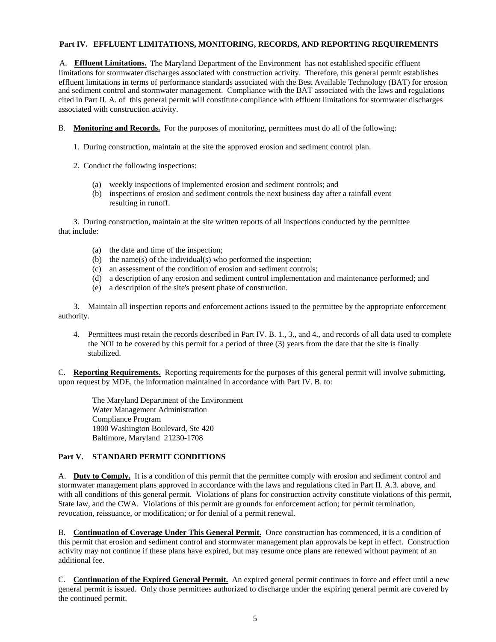# **Part IV. EFFLUENT LIMITATIONS, MONITORING, RECORDS, AND REPORTING REQUIREMENTS**

and sediment control and stormwater management. Compliance with the BAT associated with the laws and regulations cited in Part II. A. of this general permit will constitute compliance with effluent limitations for stormwater discharges associated with construction activity. A. **Effluent Limitations.** The Maryland Department of the Environment has not established specific effluent limitations for stormwater discharges associated with construction activity. Therefore, this general permit establishes effluent limitations in terms of performance standards associated with the Best Available Technology (BAT) for erosion

- B. **Monitoring and Records.** For the purposes of monitoring, permittees must do all of the following:
	- 1. During construction, maintain at the site the approved erosion and sediment control plan.
	- 2. Conduct the following inspections:
		- (a) weekly inspections of implemented erosion and sediment controls; and
		- (b) inspections of erosion and sediment controls the next business day after a rainfall event resulting in runoff.

3. During construction, maintain at the site written reports of all inspections conducted by the permittee that include:

- (a) the date and time of the inspection;
- (b) the name(s) of the individual(s) who performed the inspection;
- (c) an assessment of the condition of erosion and sediment controls;
- (d) a description of any erosion and sediment control implementation and maintenance performed; and
- (e) a description of the site's present phase of construction.

3. Maintain all inspection reports and enforcement actions issued to the permittee by the appropriate enforcement authority.

4. Permittees must retain the records described in Part IV. B. 1., 3., and 4., and records of all data used to complete the NOI to be covered by this permit for a period of three (3) years from the date that the site is finally stabilized.

C. **Reporting Requirements.** Reporting requirements for the purposes of this general permit will involve submitting, upon request by MDE, the information maintained in accordance with Part IV. B. to:

The Maryland Department of the Environment Water Management Administration Compliance Program 1800 Washington Boulevard, Ste 420 Baltimore, Maryland 21230-1708

# **Part V. STANDARD PERMIT CONDITIONS**

A. **Duty to Comply.** It is a condition of this permit that the permittee comply with erosion and sediment control and stormwater management plans approved in accordance with the laws and regulations cited in Part II. A.3. above, and with all conditions of this general permit. Violations of plans for construction activity constitute violations of this permit, State law, and the CWA. Violations of this permit are grounds for enforcement action; for permit termination, revocation, reissuance, or modification; or for denial of a permit renewal.

B. **Continuation of Coverage Under This General Permit.** Once construction has commenced, it is a condition of this permit that erosion and sediment control and stormwater management plan approvals be kept in effect. Construction activity may not continue if these plans have expired, but may resume once plans are renewed without payment of an additional fee.

C. **Continuation of the Expired General Permit.** An expired general permit continues in force and effect until a new general permit is issued. Only those permittees authorized to discharge under the expiring general permit are covered by the continued permit.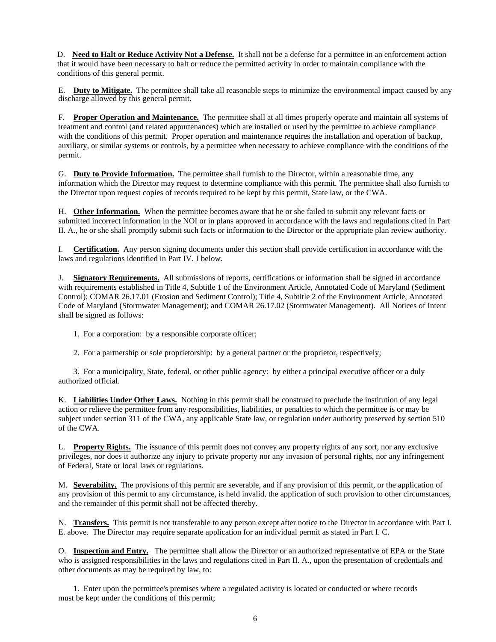D. **Need to Halt or Reduce Activity Not a Defense.** It shall not be a defense for a permittee in an enforcement action that it would have been necessary to halt or reduce the permitted activity in order to maintain compliance with the conditions of this general permit.

discharge allowed by this general permit. E. **Duty to Mitigate.** The permittee shall take all reasonable steps to minimize the environmental impact caused by any

F. **Proper Operation and Maintenance.** The permittee shall at all times properly operate and maintain all systems of treatment and control (and related appurtenances) which are installed or used by the permittee to achieve compliance with the conditions of this permit. Proper operation and maintenance requires the installation and operation of backup, auxiliary, or similar systems or controls, by a permittee when necessary to achieve compliance with the conditions of the permit.

G. **Duty to Provide Information.** The permittee shall furnish to the Director, within a reasonable time, any information which the Director may request to determine compliance with this permit. The permittee shall also furnish to the Director upon request copies of records required to be kept by this permit, State law, or the CWA.

H. **Other Information.** When the permittee becomes aware that he or she failed to submit any relevant facts or submitted incorrect information in the NOI or in plans approved in accordance with the laws and regulations cited in Part II. A., he or she shall promptly submit such facts or information to the Director or the appropriate plan review authority.

I. **Certification.** Any person signing documents under this section shall provide certification in accordance with the laws and regulations identified in Part IV. J below.

J. **Signatory Requirements.** All submissions of reports, certifications or information shall be signed in accordance with requirements established in Title 4, Subtitle 1 of the Environment Article, Annotated Code of Maryland (Sediment Control); COMAR 26.17.01 (Erosion and Sediment Control); Title 4, Subtitle 2 of the Environment Article, Annotated Code of Maryland (Stormwater Management); and COMAR 26.17.02 (Stormwater Management). All Notices of Intent shall be signed as follows:

1. For a corporation: by a responsible corporate officer;

2. For a partnership or sole proprietorship: by a general partner or the proprietor, respectively;

 3. For a municipality, State, federal, or other public agency: by either a principal executive officer or a duly authorized official.

K. **Liabilities Under Other Laws.** Nothing in this permit shall be construed to preclude the institution of any legal action or relieve the permittee from any responsibilities, liabilities, or penalties to which the permittee is or may be subject under section 311 of the CWA, any applicable State law, or regulation under authority preserved by section 510 of the CWA.

L. **Property Rights.** The issuance of this permit does not convey any property rights of any sort, nor any exclusive privileges, nor does it authorize any injury to private property nor any invasion of personal rights, nor any infringement of Federal, State or local laws or regulations.

M. **Severability.** The provisions of this permit are severable, and if any provision of this permit, or the application of any provision of this permit to any circumstance, is held invalid, the application of such provision to other circumstances, and the remainder of this permit shall not be affected thereby.

N. **Transfers.** This permit is not transferable to any person except after notice to the Director in accordance with Part I. E. above. The Director may require separate application for an individual permit as stated in Part I. C.

O. **Inspection and Entry.** The permittee shall allow the Director or an authorized representative of EPA or the State who is assigned responsibilities in the laws and regulations cited in Part II. A., upon the presentation of credentials and other documents as may be required by law, to:

1. Enter upon the permittee's premises where a regulated activity is located or conducted or where records must be kept under the conditions of this permit;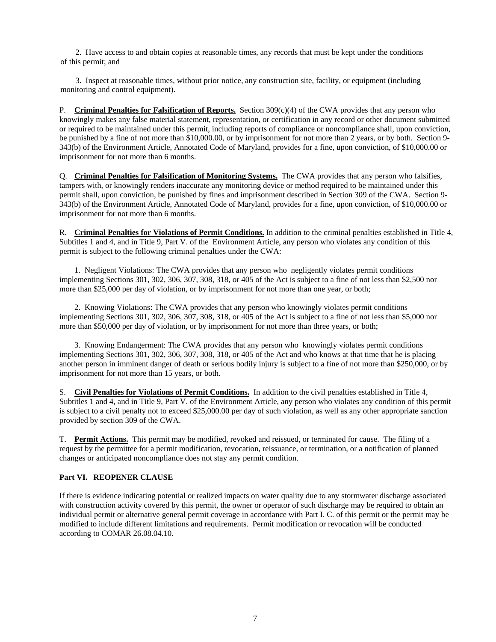2. Have access to and obtain copies at reasonable times, any records that must be kept under the conditions of this permit; and

3. Inspect at reasonable times, without prior notice, any construction site, facility, or equipment (including monitoring and control equipment).

P. **Criminal Penalties for Falsification of Reports.** Section 309(c)(4) of the CWA provides that any person who knowingly makes any false material statement, representation, or certification in any record or other document submitted or required to be maintained under this permit, including reports of compliance or noncompliance shall, upon conviction, be punished by a fine of not more than \$10,000.00, or by imprisonment for not more than 2 years, or by both. Section 9- 343(b) of the Environment Article, Annotated Code of Maryland, provides for a fine, upon conviction, of \$10,000.00 or imprisonment for not more than 6 months.

Q. **Criminal Penalties for Falsification of Monitoring Systems.** The CWA provides that any person who falsifies, tampers with, or knowingly renders inaccurate any monitoring device or method required to be maintained under this permit shall, upon conviction, be punished by fines and imprisonment described in Section 309 of the CWA. Section 9- 343(b) of the Environment Article, Annotated Code of Maryland, provides for a fine, upon conviction, of \$10,000.00 or imprisonment for not more than 6 months.

R. **Criminal Penalties for Violations of Permit Conditions.** In addition to the criminal penalties established in Title 4, Subtitles 1 and 4, and in Title 9, Part V. of the Environment Article, any person who violates any condition of this permit is subject to the following criminal penalties under the CWA:

 1. Negligent Violations: The CWA provides that any person who negligently violates permit conditions implementing Sections 301, 302, 306, 307, 308, 318, or 405 of the Act is subject to a fine of not less than \$2,500 nor more than \$25,000 per day of violation, or by imprisonment for not more than one year, or both;

 2. Knowing Violations: The CWA provides that any person who knowingly violates permit conditions implementing Sections 301, 302, 306, 307, 308, 318, or 405 of the Act is subject to a fine of not less than \$5,000 nor more than \$50,000 per day of violation, or by imprisonment for not more than three years, or both;

 3. Knowing Endangerment: The CWA provides that any person who knowingly violates permit conditions implementing Sections 301, 302, 306, 307, 308, 318, or 405 of the Act and who knows at that time that he is placing another person in imminent danger of death or serious bodily injury is subject to a fine of not more than \$250,000, or by imprisonment for not more than 15 years, or both.

S. **Civil Penalties for Violations of Permit Conditions.** In addition to the civil penalties established in Title 4, Subtitles 1 and 4, and in Title 9, Part V. of the Environment Article, any person who violates any condition of this permit is subject to a civil penalty not to exceed \$25,000.00 per day of such violation, as well as any other appropriate sanction provided by section 309 of the CWA.

T. **Permit Actions.** This permit may be modified, revoked and reissued, or terminated for cause. The filing of a request by the permittee for a permit modification, revocation, reissuance, or termination, or a notification of planned changes or anticipated noncompliance does not stay any permit condition.

# **Part VI. REOPENER CLAUSE**

If there is evidence indicating potential or realized impacts on water quality due to any stormwater discharge associated with construction activity covered by this permit, the owner or operator of such discharge may be required to obtain an individual permit or alternative general permit coverage in accordance with Part I. C. of this permit or the permit may be modified to include different limitations and requirements. Permit modification or revocation will be conducted according to COMAR 26.08.04.10.